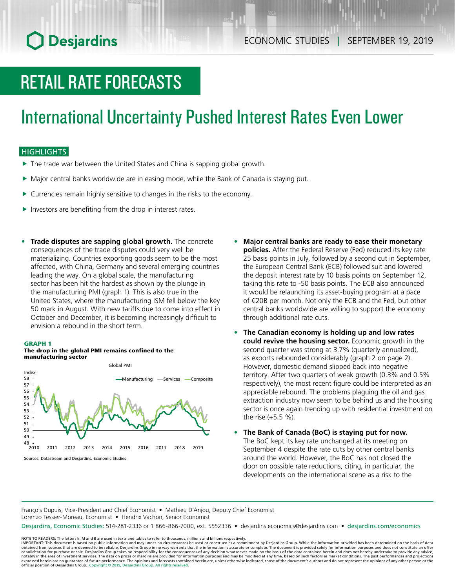## **O** Desjardins

# RETAIL RATE FORECASTS

## International Uncertainty Pushed Interest Rates Even Lower

### **HIGHLIGHTS**

- $\blacktriangleright$  The trade war between the United States and China is sapping global growth.
- $\blacktriangleright$  Major central banks worldwide are in easing mode, while the Bank of Canada is staying put.
- $\triangleright$  Currencies remain highly sensitive to changes in the risks to the economy.
- $\blacktriangleright$  Investors are benefiting from the drop in interest rates.
- **• Trade disputes are sapping global growth.** The concrete consequences of the trade disputes could very well be materializing. Countries exporting goods seem to be the most affected, with China, Germany and several emerging countries leading the way. On a global scale, the manufacturing sector has been hit the hardest as shown by the plunge in the manufacturing PMI (graph 1). This is also true in the United States, where the manufacturing ISM fell below the key 50 mark in August. With new tariffs due to come into effect in October and December, it is becoming increasingly difficult to envision a rebound in the short term.

#### GRAPH 1

#### The drop in the global PMI remains confined to the manufacturing sector



- **• Major central banks are ready to ease their monetary policies.** After the Federal Reserve (Fed) reduced its key rate 25 basis points in July, followed by a second cut in September, the European Central Bank (ECB) followed suit and lowered the deposit interest rate by 10 basis points on September 12, taking this rate to -50 basis points. The ECB also announced it would be relaunching its asset-buying program at a pace of €20B per month. Not only the ECB and the Fed, but other central banks worldwide are willing to support the economy through additional rate cuts.
- **• The Canadian economy is holding up and low rates could revive the housing sector.** Economic growth in the second quarter was strong at 3.7% (quarterly annualized), as exports rebounded considerably (graph 2 on page 2). However, domestic demand slipped back into negative territory. After two quarters of weak growth (0.3% and 0.5% respectively), the most recent figure could be interpreted as an appreciable rebound. The problems plaguing the oil and gas extraction industry now seem to be behind us and the housing sector is once again trending up with residential investment on the rise (+5.5 %).
- **• The Bank of Canada (BoC) is staying put for now.** The BoC kept its key rate unchanged at its meeting on September 4 despite the rate cuts by other central banks around the world. However, the BoC has not closed the door on possible rate reductions, citing, in particular, the developments on the international scene as a risk to the

François Dupuis, Vice-President and Chief Economist • Mathieu D'Anjou, Deputy Chief Economist Lorenzo Tessier-Moreau, Economist • Hendrix Vachon, Senior Economist

Desjardins, Economic Studies: 514-281-2336 or 1 866-866-7000, ext. 5552336 • desjardins.economics@desjardins.com • [desjardins.com/economics](http://desjardins.com/economics)

NOTE TO READERS: The letters k, M and B are used in texts and tables to refer to thousands, millions and billions respectively.<br>IMPORTANT: This document is based on public information and may under no circumstances be used obtained from sources that are deemed to be reliable, Desjardins Group in no way warrants that the information is accurate or complete. The document is provided solely for information purposes and does not constitute an of expressed herein are no guarantee of future performance. The opinions and forecasts contained herein are, unless otherwise indicated, those of the document's authors and do not represent the opinions of any other person or official position of Desjardins Group. Copyright © 2019, Desjardins Group. All rights reserved.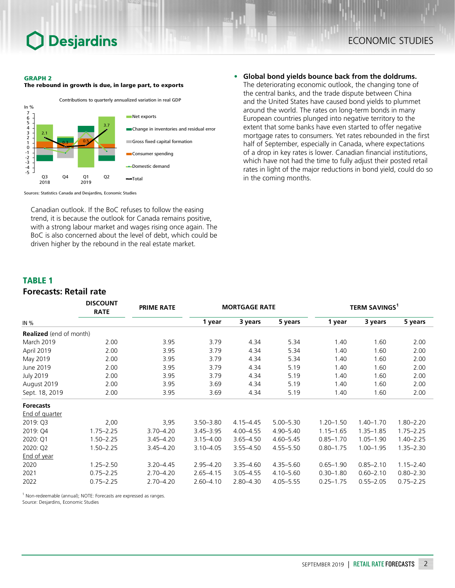## **Desjardins**

#### GRAPH 2

The rebound in growth is due, in large part, to exports



Sources: Statistics Canada and Desjardins, Economic Studies

Canadian outlook. If the BoC refuses to follow the easing trend, it is because the outlook for Canada remains positive, with a strong labour market and wages rising once again. The BoC is also concerned about the level of debt, which could be driven higher by the rebound in the real estate market.

**• Global bond yields bounce back from the doldrums.** The deteriorating economic outlook, the changing tone of the central banks, and the trade dispute between China and the United States have caused bond yields to plummet around the world. The rates on long-term bonds in many European countries plunged into negative territory to the extent that some banks have even started to offer negative mortgage rates to consumers. Yet rates rebounded in the first half of September, especially in Canada, where expectations of a drop in key rates is lower. Canadian financial institutions, which have not had the time to fully adjust their posted retail rates in light of the major reductions in bond yield, could do so in the coming months.

### TABLE 1

### **Forecasts: Retail rate**

|                                | <b>DISCOUNT</b><br><b>RATE</b> | <b>PRIME RATE</b> | <b>MORTGAGE RATE</b> |               |               | <b>TERM SAVINGS<sup>1</sup></b> |               |               |
|--------------------------------|--------------------------------|-------------------|----------------------|---------------|---------------|---------------------------------|---------------|---------------|
| IN $%$                         |                                |                   | 1 year               | 3 years       | 5 years       | 1 year                          | 3 years       | 5 years       |
| <b>Realized</b> (end of month) |                                |                   |                      |               |               |                                 |               |               |
| <b>March 2019</b>              | 2.00                           | 3.95              | 3.79                 | 4.34          | 5.34          | 1.40                            | 1.60          | 2.00          |
| April 2019                     | 2.00                           | 3.95              | 3.79                 | 4.34          | 5.34          | 1.40                            | 1.60          | 2.00          |
| May 2019                       | 2.00                           | 3.95              | 3.79                 | 4.34          | 5.34          | 1.40                            | 1.60          | 2.00          |
| June 2019                      | 2.00                           | 3.95              | 3.79                 | 4.34          | 5.19          | 1.40                            | 1.60          | 2.00          |
| <b>July 2019</b>               | 2.00                           | 3.95              | 3.79                 | 4.34          | 5.19          | 1.40                            | 1.60          | 2.00          |
| August 2019                    | 2.00                           | 3.95              | 3.69                 | 4.34          | 5.19          | 1.40                            | 1.60          | 2.00          |
| Sept. 18, 2019                 | 2.00                           | 3.95              | 3.69                 | 4.34          | 5.19          | 1.40                            | 1.60          | 2.00          |
| <b>Forecasts</b>               |                                |                   |                      |               |               |                                 |               |               |
| End of quarter                 |                                |                   |                      |               |               |                                 |               |               |
| 2019: Q3                       | 2,00                           | 3,95              | $3.50 - 3.80$        | $4.15 - 4.45$ | $5.00 - 5.30$ | $1.20 - 1.50$                   | $1.40 - 1.70$ | $1.80 - 2.20$ |
| 2019: Q4                       | $1.75 - 2.25$                  | $3.70 - 4.20$     | $3.45 - 3.95$        | $4.00 - 4.55$ | $4.90 - 5.40$ | $1.15 - 1.65$                   | $1.35 - 1.85$ | $1.75 - 2.25$ |
| 2020: Q1                       | $1.50 - 2.25$                  | $3.45 - 4.20$     | $3.15 - 4.00$        | $3.65 - 4.50$ | $4.60 - 5.45$ | $0.85 - 1.70$                   | $1.05 - 1.90$ | $1.40 - 2.25$ |
| 2020: Q2                       | $1.50 - 2.25$                  | $3.45 - 4.20$     | $3.10 - 4.05$        | $3.55 - 4.50$ | $4.55 - 5.50$ | $0.80 - 1.75$                   | $1.00 - 1.95$ | $1.35 - 2.30$ |
| End of year                    |                                |                   |                      |               |               |                                 |               |               |
| 2020                           | $1.25 - 2.50$                  | $3.20 - 4.45$     | $2.95 - 4.20$        | $3.35 - 4.60$ | $4.35 - 5.60$ | $0.65 - 1.90$                   | $0.85 - 2.10$ | $1.15 - 2.40$ |
| 2021                           | $0.75 - 2.25$                  | $2.70 - 4.20$     | $2.65 - 4.15$        | $3.05 - 4.55$ | 4.10-5.60     | $0.30 - 1.80$                   | $0.60 - 2.10$ | $0.80 - 2.30$ |
| 2022                           | $0.75 - 2.25$                  | $2.70 - 4.20$     | $2.60 - 4.10$        | $2.80 - 4.30$ | $4.05 - 5.55$ | $0.25 - 1.75$                   | $0.55 - 2.05$ | $0.75 - 2.25$ |

 $1$  Non-redeemable (annual); NOTE: Forecasts are expressed as ranges.

Source: Desjardins, Economic Studies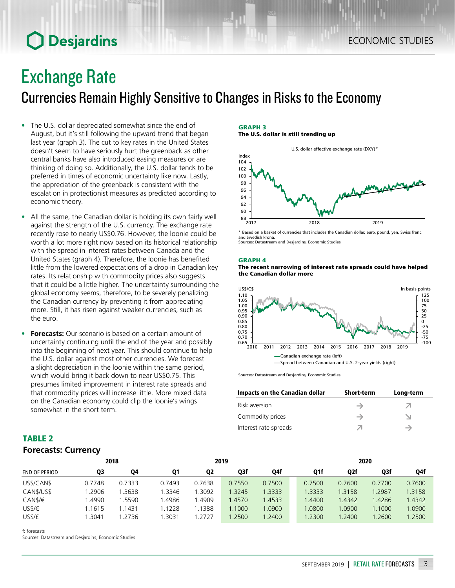## **O** Desjardins

## Exchange Rate

Currencies Remain Highly Sensitive to Changes in Risks to the Economy

- The U.S. dollar depreciated somewhat since the end of August, but it's still following the upward trend that began last year (graph 3). The cut to key rates in the United States doesn't seem to have seriously hurt the greenback as other central banks have also introduced easing measures or are thinking of doing so. Additionally, the U.S. dollar tends to be preferred in times of economic uncertainty like now. Lastly, the appreciation of the greenback is consistent with the escalation in protectionist measures as predicted according to economic theory.
- All the same, the Canadian dollar is holding its own fairly well against the strength of the U.S. currency. The exchange rate recently rose to nearly US\$0.76. However, the loonie could be worth a lot more right now based on its historical relationship with the spread in interest rates between Canada and the United States (graph 4). Therefore, the loonie has benefited little from the lowered expectations of a drop in Canadian key rates. Its relationship with commodity prices also suggests that it could be a little higher. The uncertainty surrounding the global economy seems, therefore, to be severely penalizing the Canadian currency by preventing it from appreciating more. Still, it has risen against weaker currencies, such as the euro.
- **• Forecasts:** Our scenario is based on a certain amount of uncertainty continuing until the end of the year and possibly into the beginning of next year. This should continue to help the U.S. dollar against most other currencies. We forecast a slight depreciation in the loonie within the same period, which would bring it back down to near US\$0.75. This presumes limited improvement in interest rate spreads and that commodity prices will increase little. More mixed data on the Canadian economy could clip the loonie's wings somewhat in the short term.

#### GRAPH 3 The U.S. dollar is still trending up



\* Based on a basket of currencies that includes the Canadian dollar, euro, pound, yen, Swiss franc and Swedish krona. Sources: Datastream and Desjardins, Economic Studies

### GRAPH 4





Sources: Datastream and Desjardins, Economic Studies

| Impacts on the Canadian dollar | <b>Short-term</b> | Long-term |
|--------------------------------|-------------------|-----------|
| Risk aversion                  |                   |           |
| Commodity prices               |                   |           |
| Interest rate spreads          |                   |           |

| <b>IABLE Z</b>             |  |
|----------------------------|--|
| <b>Forecasts: Currency</b> |  |

|                      |        | 2018   |           | 2019           |        |        |              | 2020   |        |        |  |
|----------------------|--------|--------|-----------|----------------|--------|--------|--------------|--------|--------|--------|--|
| <b>END OF PERIOD</b> | Q3     | Q4     | <b>Q1</b> | Q <sub>2</sub> | Q3f    | Q4f    | Q1f          | Q2f    | Q3f    | Q4f    |  |
| US\$/CAN\$           | 0.7748 | 0.7333 | 0.7493    | 0.7638         | 0.7550 | 0.7500 | 0.7500       | 0.7600 | 0.7700 | 0.7600 |  |
| CAN\$/US\$           | .2906  | .3638  | 1.3346    | .3092          | 1.3245 | 1.3333 | 1.3333       | 1.3158 | 1.2987 | 1.3158 |  |
| CAN\$/€              | .4990  | 1.5590 | .4986     | .4909          | 1.4570 | 1.4533 | <b>.4400</b> | 1.4342 | 1.4286 | 1.4342 |  |
| USS/E                | .1615  | 1.1431 | 1.1228    | .1388          | 1.1000 | 1.0900 | .0800        | 1.0900 | 1.1000 | .0900  |  |
| US\$/£               | .3041  | 1.2736 | .3031     | .2727          | .2500  | 1.2400 | 1.2300       | 1.2400 | 1.2600 | 1.2500 |  |

f: forecasts

TABLE 2

Sources: Datastream and Desjardins, Economic Studies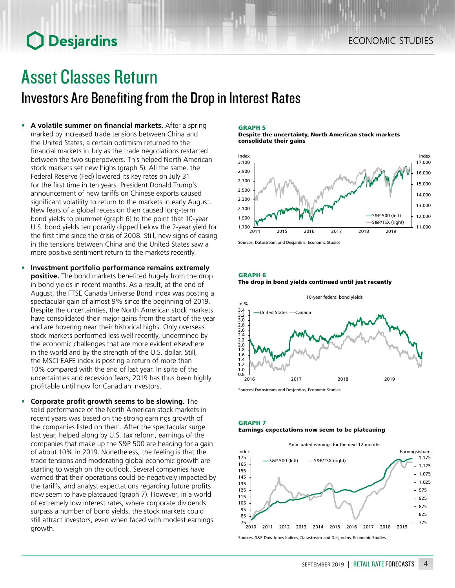## **O** Desjardins

## Asset Classes Return

## Investors Are Benefiting from the Drop in Interest Rates

- **• A volatile summer on financial markets.** After a spring marked by increased trade tensions between China and the United States, a certain optimism returned to the financial markets in July as the trade negotiations restarted between the two superpowers. This helped North American stock markets set new highs (graph 5). All the same, the Federal Reserve (Fed) lowered its key rates on July 31 for the first time in ten years. President Donald Trump's announcement of new tariffs on Chinese exports caused significant volatility to return to the markets in early August. New fears of a global recession then caused long-term bond yields to plummet (graph 6) to the point that 10-year U.S. bond yields temporarily dipped below the 2-year yield for the first time since the crisis of 2008. Still, new signs of easing in the tensions between China and the United States saw a more positive sentiment return to the markets recently.
- **• Investment portfolio performance remains extremely positive.** The bond markets benefited hugely from the drop in bond yields in recent months. As a result, at the end of August, the FTSE Canada Universe Bond index was posting a spectacular gain of almost 9% since the beginning of 2019. Despite the uncertainties, the North American stock markets have consolidated their major gains from the start of the year and are hovering near their historical highs. Only overseas stock markets performed less well recently, undermined by the economic challenges that are more evident elsewhere in the world and by the strength of the U.S. dollar. Still, the MSCI EAFE index is posting a return of more than 10% compared with the end of last year. In spite of the uncertainties and recession fears, 2019 has thus been highly profitable until now for Canadian investors.
- **• Corporate profit growth seems to be slowing.** The solid performance of the North American stock markets in recent years was based on the strong earnings growth of the companies listed on them. After the spectacular surge last year, helped along by U.S. tax reform, earnings of the companies that make up the S&P 500 are heading for a gain of about 10% in 2019. Nonetheless, the feeling is that the trade tensions and moderating global economic growth are starting to weigh on the outlook. Several companies have warned that their operations could be negatively impacted by the tariffs, and analyst expectations regarding future profits now seem to have plateaued (graph 7). However, in a world of extremely low interest rates, where corporate dividends surpass a number of bond yields, the stock markets could still attract investors, even when faced with modest earnings growth.

#### GRAPH 5

Despite the uncertainty, North American stock markets consolidate their gains



Sources: Datastream and Desjardins, Economic Studies

#### GRAPH 6





#### Sources: Datastream and Desjardins, Economic Studies

### GRAPH 7

#### Earnings expectations now seem to be plateauing



Sources: S&P Dow Jones Indices, Datastream and Desjardins, Economic Studies